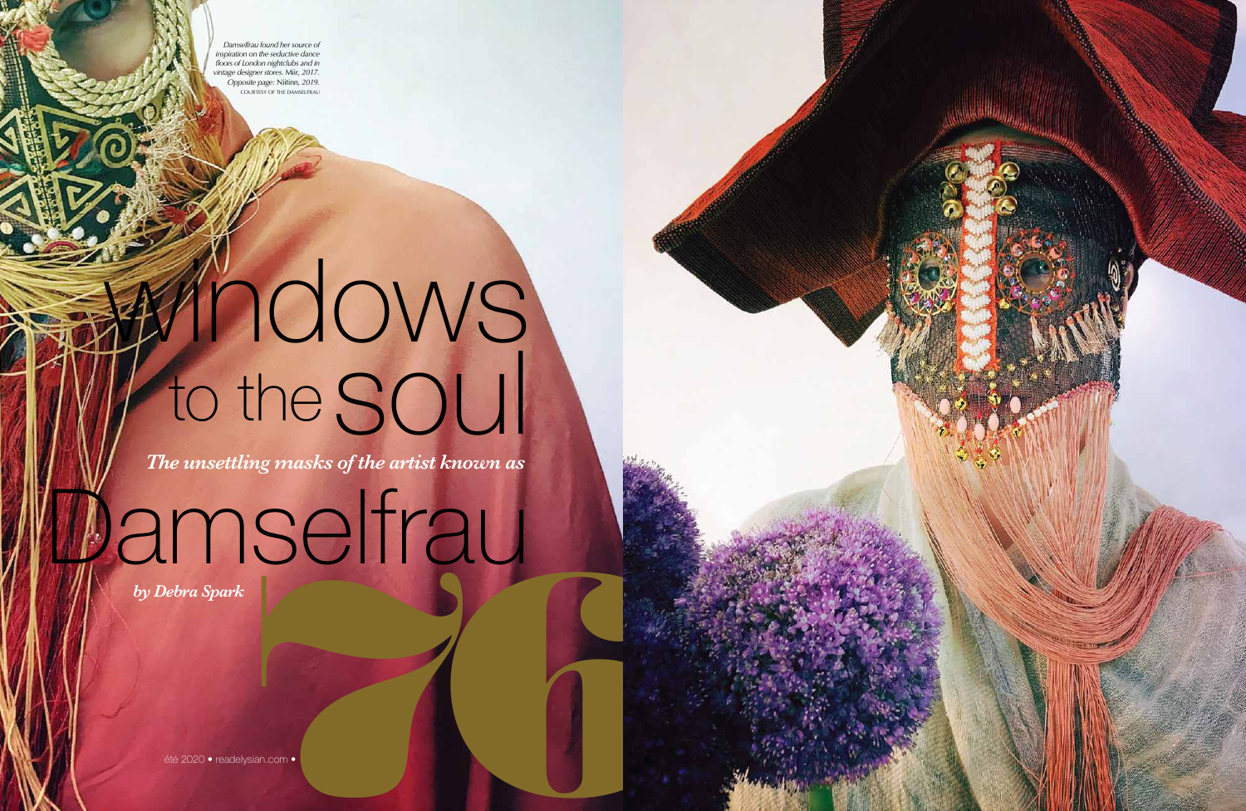

## windows to the SOUI

*The unsettling masks of the artist known as*

Jamselfrau été 2020 • readelysian.com •76 *by Debra Spark*

été 2020 • readelysian.com •

*Damselfrau found her source of inspiration on the seductive dance floors of London nightclubs and in vintage designer stores.* Miir*, 2017. Opposite page:* Niitinn*, 2019.* COURTESY OF THE DAMSELFRAU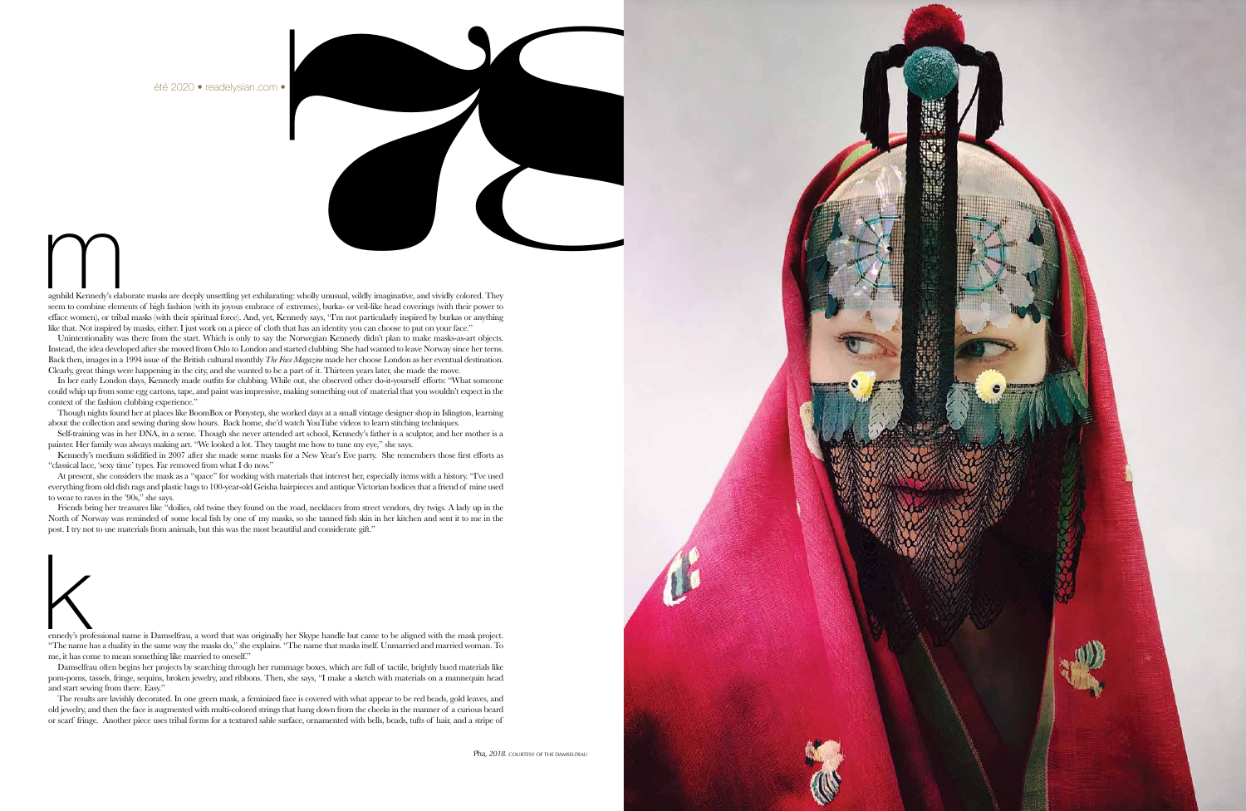

agnhild Kennedy's elaborate masks are deeply unsettling yet exhilarating: wholly unusual, wildly imaginative, and vividly colored. They seem to combine elements of high fashion (with its joyous embrace of extremes), burka- or veil-like head coverings (with their power to efface women), or tribal masks (with their spiritual force). And, yet, Kennedy says, "I'm not particularly inspired by burkas or anything like that. Not inspired by masks, either. I just work on a piece of cloth that has an identity you can choose to put on your face." and the state of the state of the state of the state of the state of the state of the state of the state of the state of the state of the state of the state of the state of the state of the state of the state of the state scaling the scaling or scaling to collect the scaling scaling scaling scaling interactions of a texture of the scaling forms for a texture of the scaling scaling the scaling or scaling interactions for a text of the scali

Instead, the idea developed after she moved from Oslo to London and started clubbing. She had wanted to leave Norway since her teens. Back then, images in a 1994 issue of the British cultural monthly *The Face Magazine* made her choose London as her eventual destination. Unintentionality was there from the start. Which is only to say the Norwegian Kennedy didn't plan to make masks-as-art objects. Clearly, great things were happening in the city, and she wanted to be a part of it. Thirteen years later, she made the move.

In her early London days, Kennedy made outfits for clubbing. While out, she observed other do-it-yourself efforts: "What someone could whip up from some egg cartons, tape, and paint was impressive, making something out of material that you wouldn't expect in the context of the fashion clubbing experience."

Though nights found her at places like BoomBox or Ponystep, she worked days at a small vintage designer shop in Islington, learning about the collection and sewing during slow hours. Back home, she'd watch YouTube videos to learn stitching techniques.

Self-training was in her DNA, in a sense. Though she never attended art school, Kennedy's father is a sculptor, and her mother is a painter. Her family was always making art. "We looked a lot. They taught me how to tune my eye," she says.

Kennedy's medium solidified in 2007 after she made some masks for a New Year's Eve party. She remembers those first efforts as "classical lace, 'sexy time' types. Far removed from what I do now."

At present, she considers the mask as a "space" for working with materials that interest her, especially items with a history. "I've used everything from old dish rags and plastic bags to 100-year-old Geisha hairpieces and antique Victorian bodices that a friend of mine used to wear to raves in the '90s," she says.

Friends bring her treasures like "doilies, old twine they found on the road, necklaces from street vendors, dry twigs. A lady up in the North of Norway was reminded of some local fish by one of my masks, so she tanned fish skin in her kitchen and sent it to me in the post. I try not to use materials from animals, but this was the most beautiful and considerate gift."



ennedy's professional name is Damselfrau, a word that was originally her Skype handle but came to be aligned with the mask project. "The name has a duality in the same way the masks do," she explains. "The name that masks itself. Unmarried and married woman. To me, it has come to mean something like married to oneself."

Damselfrau often begins her projects by searching through her rummage boxes, which are full of tactile, brightly hued materials like pom-poms, tassels, fringe, sequins, broken jewelry, and ribbons. Then, she says, "I make a sketch with materials on a mannequin head and start sewing from there. Easy."

The results are lavishly decorated. In one green mask, a feminized face is covered with what appear to be red beads, gold leaves, and old jewelry, and then the face is augmented with multi-colored strings that hang down from the cheeks in the manner of a curious beard

été 2020 • readelysian.com •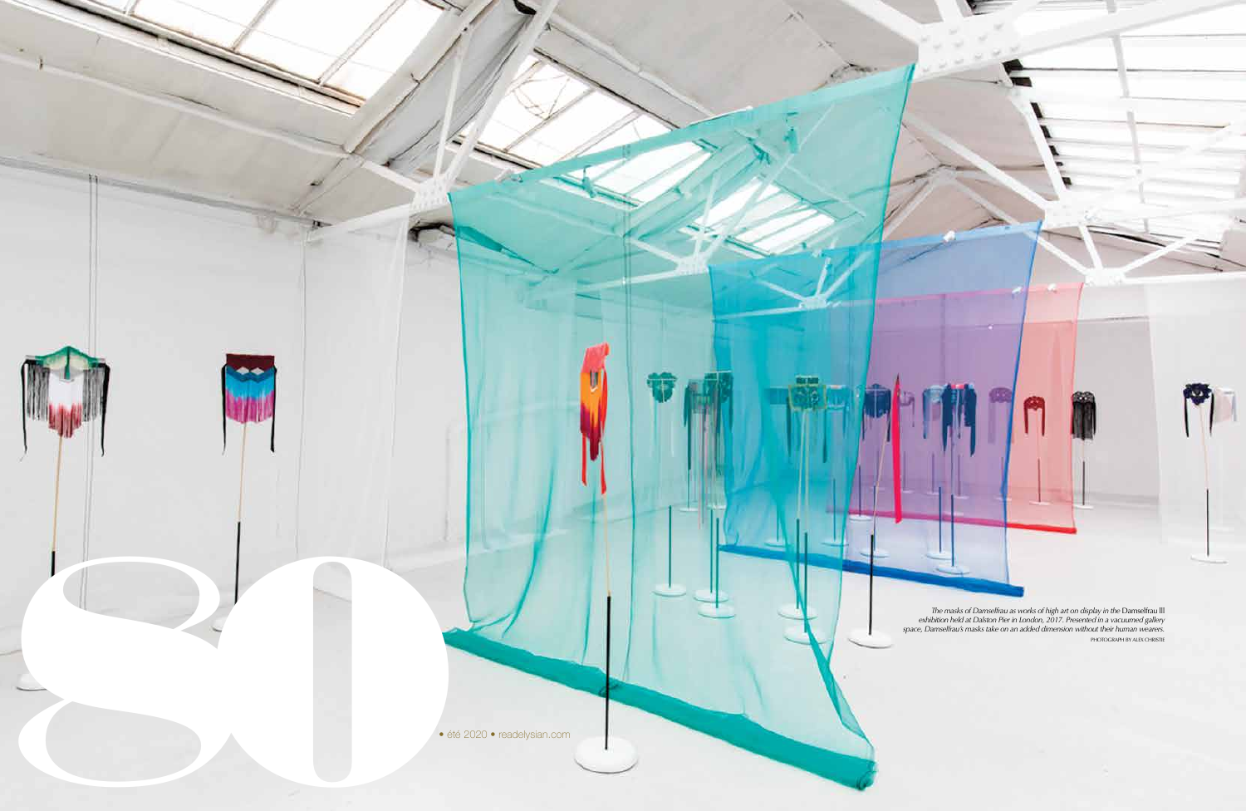708 • Péter 2020 • Péter 2020 • Péter 2020 • Péter 2020 • Péter 2020 • 2020 • 10 ° été 2020 • été 2020 • 81 • été 2020 • 81 • été 2020 • 10 ° été 2020 • 10 ° été 2020 • 10 ° été 2020 • 10 ° été 2020 • 10 ° été 2020 • 81 • *The masks of Damselfrau as works of high art on display in the* Damselfrau lll *exhibition held at Dalston Pier in London, 2017. Presented in a vacuumed gallery space, Damselfrau's masks take on an added dimension without their human wearers.* PHOTOGRAPH BY ALEX CHRISTIE

 $\sum_{i=1}^n$ 

**Burght** 

Î

is.

80• été 2020 • readelysian.com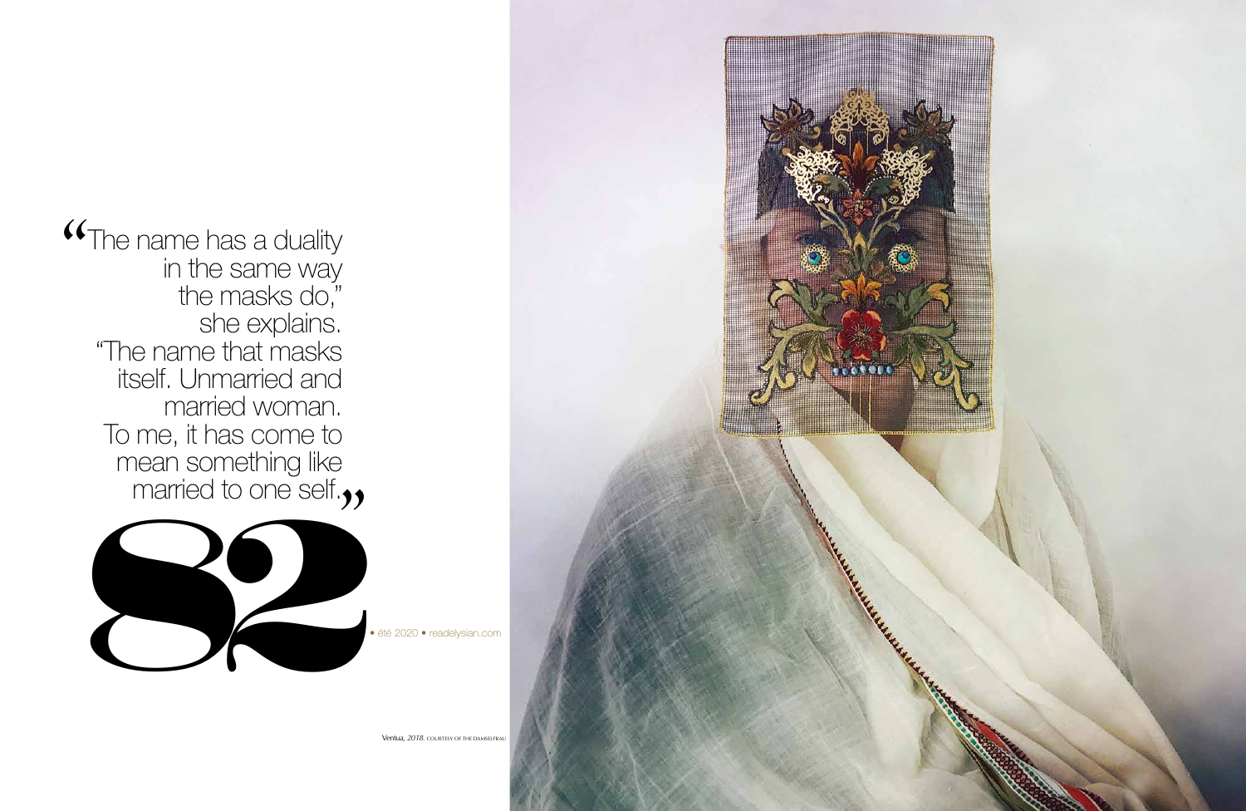

The name has a duality in the same way the masks do," she explains. "The name that masks itself. Unmarried and married woman. To me, it has come to mean something like married to one self. *"*



Ventua*, 2018.* COURTESY OF THE DAMSELFRAU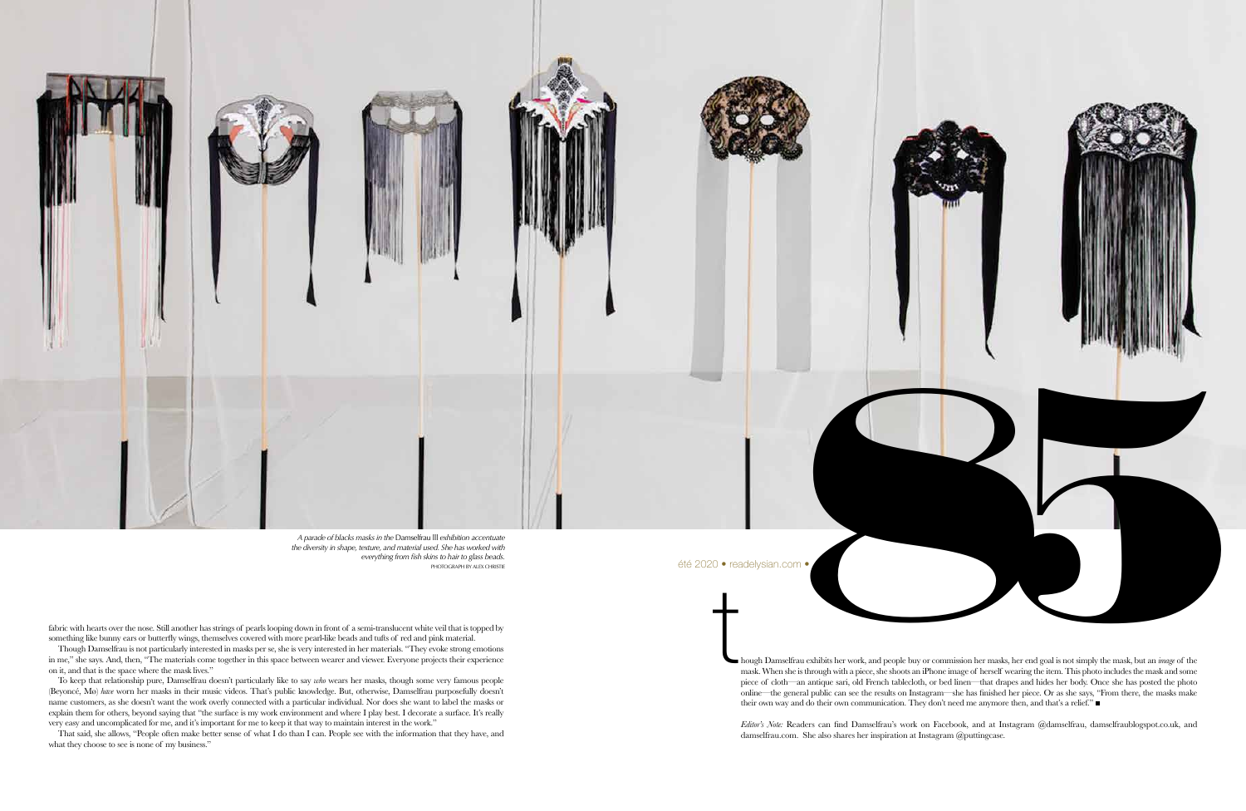fabric with hearts over the nose. Still another has strings of pearls looping down in front of a semi-translucent white veil that is topped by something like bunny ears or butterfly wings, themselves covered with more pearl-like beads and tufts of red and pink material.

Though Damselfrau is not particularly interested in masks per se, she is very interested in her materials. "They evoke strong emotions in me," she says. And, then, "The materials come together in this space between wearer and viewer. Everyone projects their experience on it, and that is the space where the mask lives."

To keep that relationship pure, Damselfrau doesn't particularly like to say *who* wears her masks, though some very famous people (Beyoncé, Mø) *have* worn her masks in their music videos. That's public knowledge. But, otherwise, Damselfrau purposefully doesn't name customers, as she doesn't want the work overly connected with a particular individual. Nor does she want to label the masks or explain them for others, beyond saying that "the surface is my work environment and where I play best. I decorate a surface. It's really very easy and uncomplicated for me, and it's important for me to keep it that way to maintain interest in the work."

That said, she allows, "People often make better sense of what I do than I can. People see with the information that they have, and what they choose to see is none of my business."

mask. When she is through with a piece, she shoots an iPhone image of herself wearing the item. This photo includes the mask and some piece of cloth—an antique sari, old French tablecloth, or bed linen—that drapes and hides her body. Once she has posted the photo online—the general public can see the results on Instagram—she has finished her piece. Or as she says, "From there, the masks make their own way and do their own communication. They don't need me anymore then, and that's a relief." ■



*Editor's Note:* Readers can find Damselfrau's work on Facebook, and at Instagram @damselfrau, damselfraublogspot.co.uk, and damselfrau.com. She also shares her inspiration at Instagram @puttingcase.